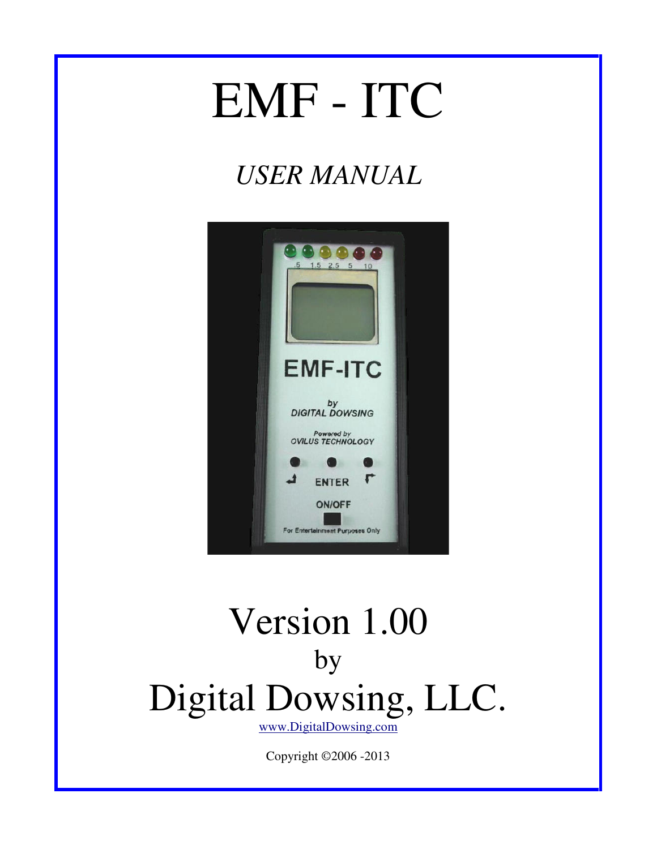# EMF - ITC

# *USER MANUAL*



# Version 1.00 by Digital Dowsing, LLC.

www.DigitalDowsing.com

Copyright ©2006 -2013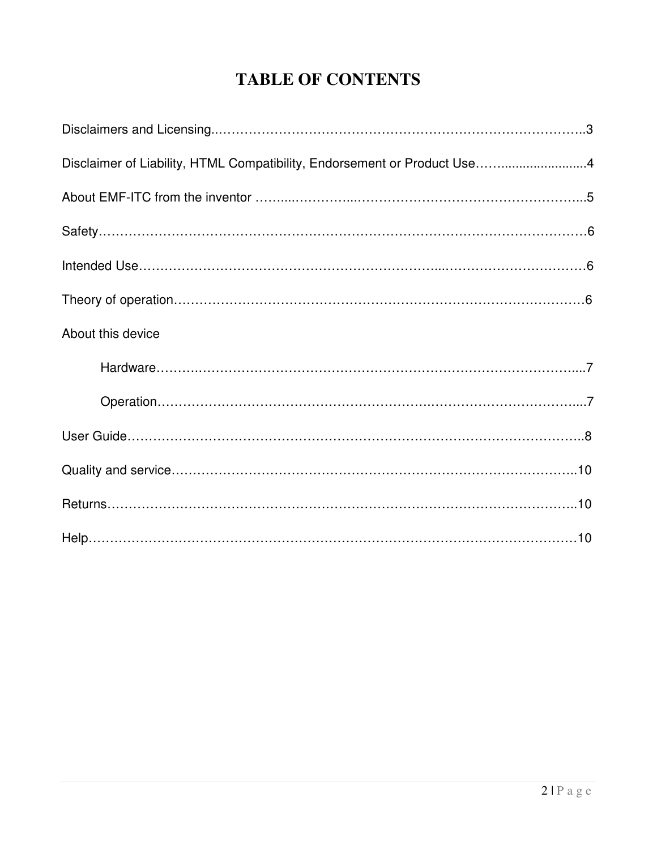### **TABLE OF CONTENTS**

| Disclaimer of Liability, HTML Compatibility, Endorsement or Product Use4 |
|--------------------------------------------------------------------------|
|                                                                          |
|                                                                          |
|                                                                          |
|                                                                          |
| About this device                                                        |
|                                                                          |
|                                                                          |
|                                                                          |
|                                                                          |
|                                                                          |
|                                                                          |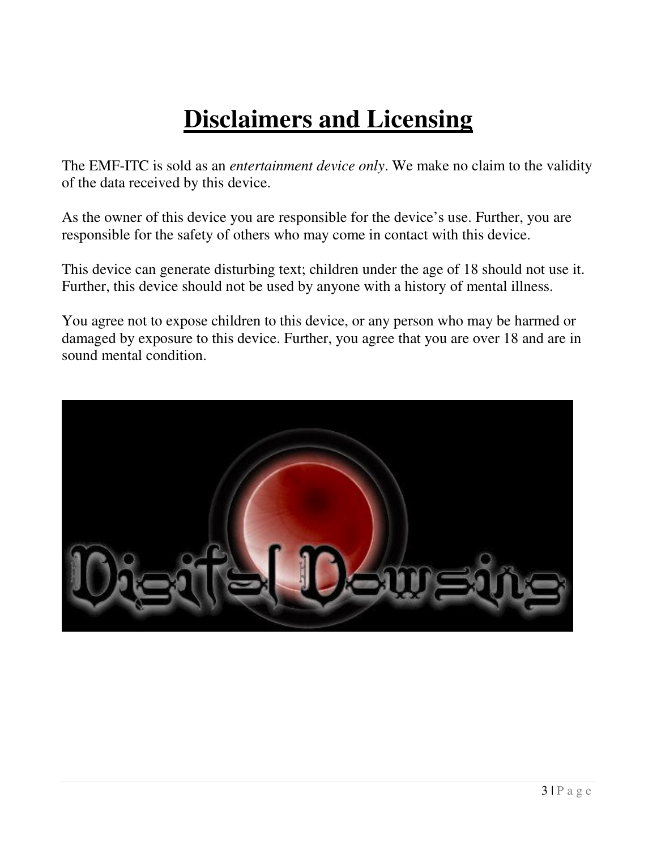# **Disclaimers and Licensing**

The EMF-ITC is sold as an *entertainment device only*. We make no claim to the validity of the data received by this device.

As the owner of this device you are responsible for the device's use. Further, you are responsible for the safety of others who may come in contact with this device.

This device can generate disturbing text; children under the age of 18 should not use it. Further, this device should not be used by anyone with a history of mental illness.

You agree not to expose children to this device, or any person who may be harmed or damaged by exposure to this device. Further, you agree that you are over 18 and are in sound mental condition.

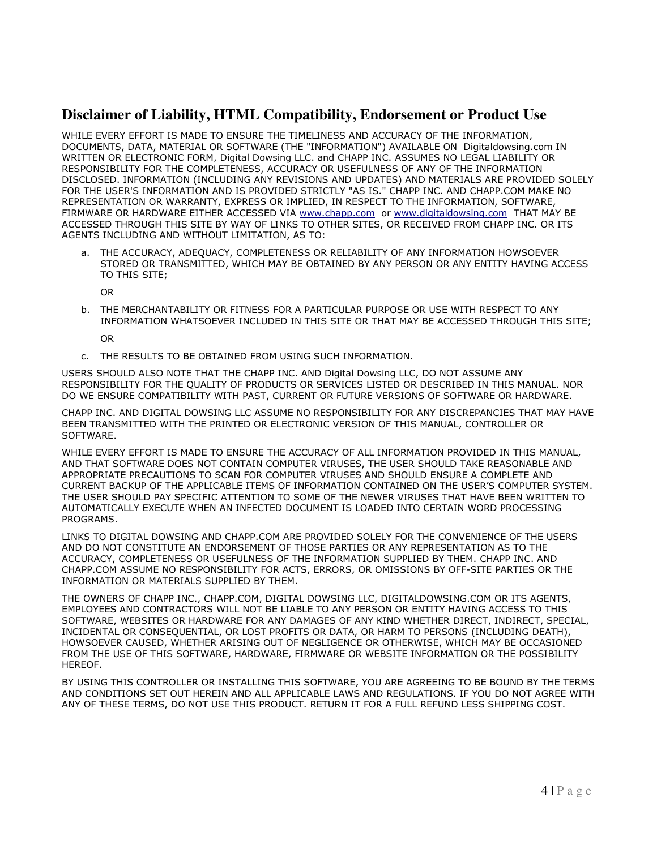#### **Disclaimer of Liability, HTML Compatibility, Endorsement or Product Use**

WHILE EVERY EFFORT IS MADE TO ENSURE THE TIMELINESS AND ACCURACY OF THE INFORMATION, DOCUMENTS, DATA, MATERIAL OR SOFTWARE (THE "INFORMATION") AVAILABLE ON Digitaldowsing.com IN WRITTEN OR ELECTRONIC FORM, Digital Dowsing LLC. and CHAPP INC. ASSUMES NO LEGAL LIABILITY OR RESPONSIBILITY FOR THE COMPLETENESS, ACCURACY OR USEFULNESS OF ANY OF THE INFORMATION DISCLOSED. INFORMATION (INCLUDING ANY REVISIONS AND UPDATES) AND MATERIALS ARE PROVIDED SOLELY FOR THE USER'S INFORMATION AND IS PROVIDED STRICTLY "AS IS." CHAPP INC. AND CHAPP.COM MAKE NO REPRESENTATION OR WARRANTY, EXPRESS OR IMPLIED, IN RESPECT TO THE INFORMATION, SOFTWARE, FIRMWARE OR HARDWARE EITHER ACCESSED VIA www.chapp.com or www.digitaldowsing.com THAT MAY BE ACCESSED THROUGH THIS SITE BY WAY OF LINKS TO OTHER SITES, OR RECEIVED FROM CHAPP INC. OR ITS AGENTS INCLUDING AND WITHOUT LIMITATION, AS TO:

a. THE ACCURACY, ADEQUACY, COMPLETENESS OR RELIABILITY OF ANY INFORMATION HOWSOEVER STORED OR TRANSMITTED, WHICH MAY BE OBTAINED BY ANY PERSON OR ANY ENTITY HAVING ACCESS TO THIS SITE;

OR

b. THE MERCHANTABILITY OR FITNESS FOR A PARTICULAR PURPOSE OR USE WITH RESPECT TO ANY INFORMATION WHATSOEVER INCLUDED IN THIS SITE OR THAT MAY BE ACCESSED THROUGH THIS SITE;

OR

c. THE RESULTS TO BE OBTAINED FROM USING SUCH INFORMATION.

USERS SHOULD ALSO NOTE THAT THE CHAPP INC. AND Digital Dowsing LLC, DO NOT ASSUME ANY RESPONSIBILITY FOR THE QUALITY OF PRODUCTS OR SERVICES LISTED OR DESCRIBED IN THIS MANUAL. NOR DO WE ENSURE COMPATIBILITY WITH PAST, CURRENT OR FUTURE VERSIONS OF SOFTWARE OR HARDWARE.

CHAPP INC. AND DIGITAL DOWSING LLC ASSUME NO RESPONSIBILITY FOR ANY DISCREPANCIES THAT MAY HAVE BEEN TRANSMITTED WITH THE PRINTED OR ELECTRONIC VERSION OF THIS MANUAL, CONTROLLER OR SOFTWARE.

WHILE EVERY EFFORT IS MADE TO ENSURE THE ACCURACY OF ALL INFORMATION PROVIDED IN THIS MANUAL, AND THAT SOFTWARE DOES NOT CONTAIN COMPUTER VIRUSES, THE USER SHOULD TAKE REASONABLE AND APPROPRIATE PRECAUTIONS TO SCAN FOR COMPUTER VIRUSES AND SHOULD ENSURE A COMPLETE AND CURRENT BACKUP OF THE APPLICABLE ITEMS OF INFORMATION CONTAINED ON THE USER'S COMPUTER SYSTEM. THE USER SHOULD PAY SPECIFIC ATTENTION TO SOME OF THE NEWER VIRUSES THAT HAVE BEEN WRITTEN TO AUTOMATICALLY EXECUTE WHEN AN INFECTED DOCUMENT IS LOADED INTO CERTAIN WORD PROCESSING PROGRAMS.

LINKS TO DIGITAL DOWSING AND CHAPP.COM ARE PROVIDED SOLELY FOR THE CONVENIENCE OF THE USERS AND DO NOT CONSTITUTE AN ENDORSEMENT OF THOSE PARTIES OR ANY REPRESENTATION AS TO THE ACCURACY, COMPLETENESS OR USEFULNESS OF THE INFORMATION SUPPLIED BY THEM. CHAPP INC. AND CHAPP.COM ASSUME NO RESPONSIBILITY FOR ACTS, ERRORS, OR OMISSIONS BY OFF-SITE PARTIES OR THE INFORMATION OR MATERIALS SUPPLIED BY THEM.

THE OWNERS OF CHAPP INC., CHAPP.COM, DIGITAL DOWSING LLC, DIGITALDOWSING.COM OR ITS AGENTS, EMPLOYEES AND CONTRACTORS WILL NOT BE LIABLE TO ANY PERSON OR ENTITY HAVING ACCESS TO THIS SOFTWARE, WEBSITES OR HARDWARE FOR ANY DAMAGES OF ANY KIND WHETHER DIRECT, INDIRECT, SPECIAL, INCIDENTAL OR CONSEQUENTIAL, OR LOST PROFITS OR DATA, OR HARM TO PERSONS (INCLUDING DEATH), HOWSOEVER CAUSED, WHETHER ARISING OUT OF NEGLIGENCE OR OTHERWISE, WHICH MAY BE OCCASIONED FROM THE USE OF THIS SOFTWARE, HARDWARE, FIRMWARE OR WEBSITE INFORMATION OR THE POSSIBILITY HEREOF.

BY USING THIS CONTROLLER OR INSTALLING THIS SOFTWARE, YOU ARE AGREEING TO BE BOUND BY THE TERMS AND CONDITIONS SET OUT HEREIN AND ALL APPLICABLE LAWS AND REGULATIONS. IF YOU DO NOT AGREE WITH ANY OF THESE TERMS, DO NOT USE THIS PRODUCT. RETURN IT FOR A FULL REFUND LESS SHIPPING COST.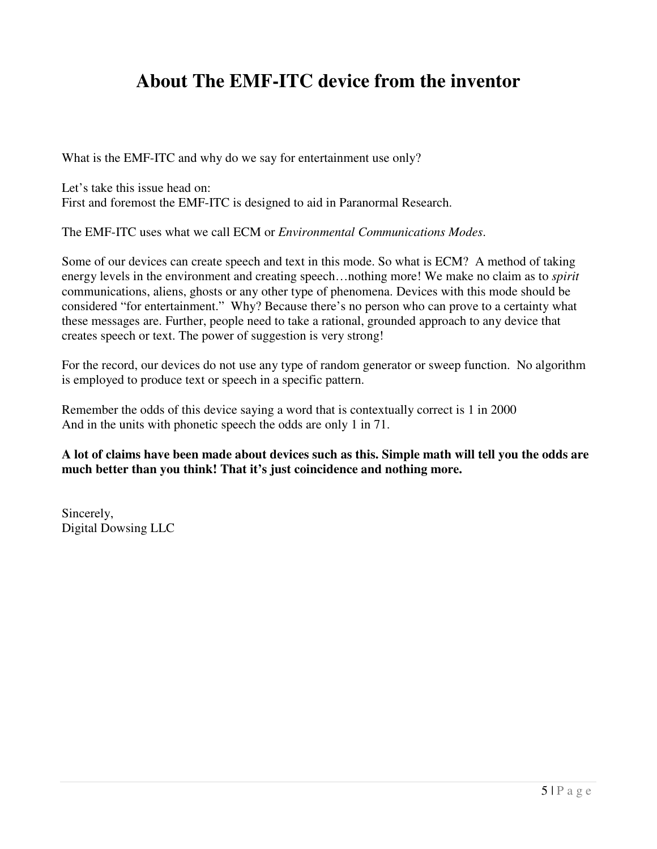### **About The EMF-ITC device from the inventor**

What is the EMF-ITC and why do we say for entertainment use only?

Let's take this issue head on: First and foremost the EMF-ITC is designed to aid in Paranormal Research.

The EMF-ITC uses what we call ECM or *Environmental Communications Modes*.

Some of our devices can create speech and text in this mode. So what is ECM? A method of taking energy levels in the environment and creating speech…nothing more! We make no claim as to *spirit* communications, aliens, ghosts or any other type of phenomena. Devices with this mode should be considered "for entertainment." Why? Because there's no person who can prove to a certainty what these messages are. Further, people need to take a rational, grounded approach to any device that creates speech or text. The power of suggestion is very strong!

For the record, our devices do not use any type of random generator or sweep function. No algorithm is employed to produce text or speech in a specific pattern.

Remember the odds of this device saying a word that is contextually correct is 1 in 2000 And in the units with phonetic speech the odds are only 1 in 71.

**A lot of claims have been made about devices such as this. Simple math will tell you the odds are much better than you think! That it's just coincidence and nothing more.** 

Sincerely, Digital Dowsing LLC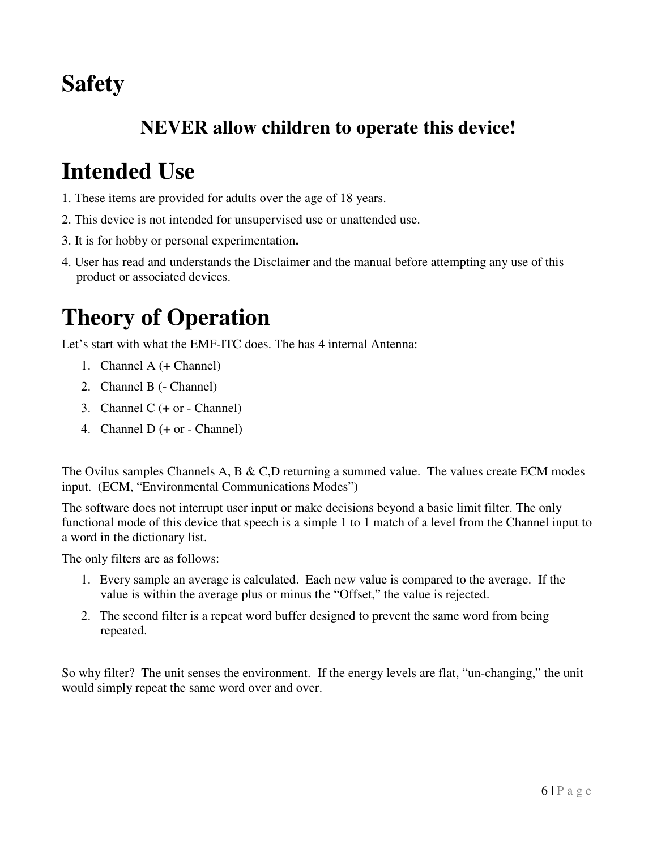# **Safety**

### **NEVER allow children to operate this device!**

## **Intended Use**

- 1. These items are provided for adults over the age of 18 years.
- 2. This device is not intended for unsupervised use or unattended use.
- 3. It is for hobby or personal experimentation**.**
- 4. User has read and understands the Disclaimer and the manual before attempting any use of this product or associated devices.

# **Theory of Operation**

Let's start with what the EMF-ITC does. The has 4 internal Antenna:

- 1. Channel A (**+** Channel)
- 2. Channel B (- Channel)
- 3. Channel C (**+** or Channel)
- 4. Channel D (**+** or Channel)

The Ovilus samples Channels A, B  $&$  C,D returning a summed value. The values create ECM modes input. (ECM, "Environmental Communications Modes")

The software does not interrupt user input or make decisions beyond a basic limit filter. The only functional mode of this device that speech is a simple 1 to 1 match of a level from the Channel input to a word in the dictionary list.

The only filters are as follows:

- 1. Every sample an average is calculated. Each new value is compared to the average. If the value is within the average plus or minus the "Offset," the value is rejected.
- 2. The second filter is a repeat word buffer designed to prevent the same word from being repeated.

So why filter? The unit senses the environment. If the energy levels are flat, "un-changing," the unit would simply repeat the same word over and over.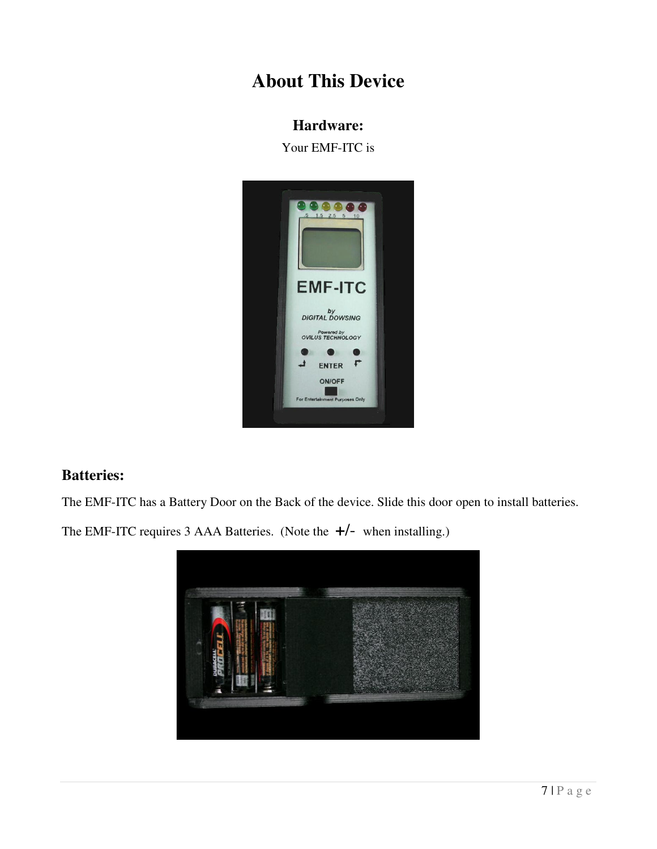### **About This Device**

#### **Hardware:**

Your EMF-ITC is



#### **Batteries:**

The EMF-ITC has a Battery Door on the Back of the device. Slide this door open to install batteries.

The EMF-ITC requires 3 AAA Batteries. (Note the **+**/- when installing.)

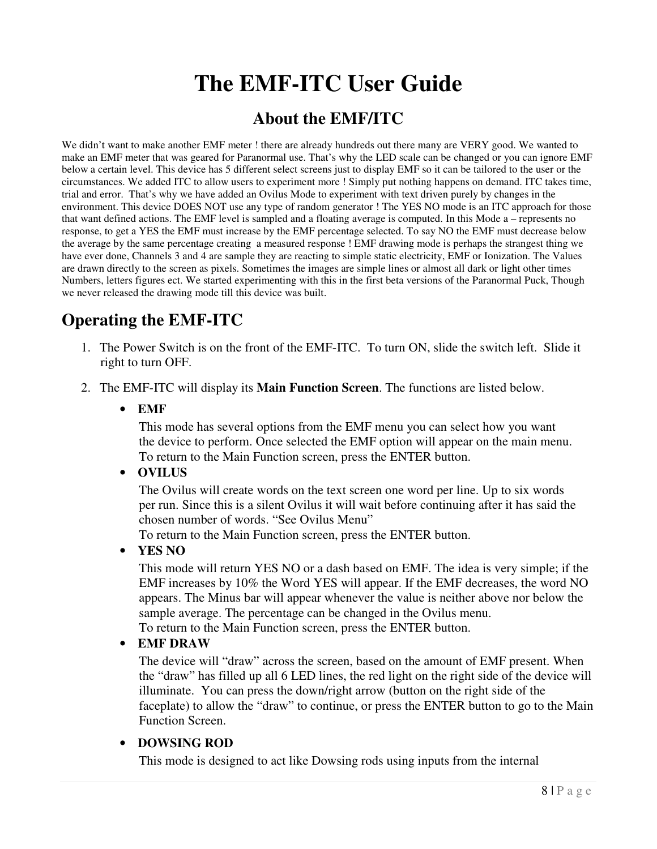# **The EMF-ITC User Guide**

### **About the EMF/ITC**

We didn't want to make another EMF meter ! there are already hundreds out there many are VERY good. We wanted to make an EMF meter that was geared for Paranormal use. That's why the LED scale can be changed or you can ignore EMF below a certain level. This device has 5 different select screens just to display EMF so it can be tailored to the user or the circumstances. We added ITC to allow users to experiment more ! Simply put nothing happens on demand. ITC takes time, trial and error. That's why we have added an Ovilus Mode to experiment with text driven purely by changes in the environment. This device DOES NOT use any type of random generator ! The YES NO mode is an ITC approach for those that want defined actions. The EMF level is sampled and a floating average is computed. In this Mode a – represents no response, to get a YES the EMF must increase by the EMF percentage selected. To say NO the EMF must decrease below the average by the same percentage creating a measured response ! EMF drawing mode is perhaps the strangest thing we have ever done, Channels 3 and 4 are sample they are reacting to simple static electricity, EMF or Ionization. The Values are drawn directly to the screen as pixels. Sometimes the images are simple lines or almost all dark or light other times Numbers, letters figures ect. We started experimenting with this in the first beta versions of the Paranormal Puck, Though we never released the drawing mode till this device was built.

### **Operating the EMF-ITC**

- 1. The Power Switch is on the front of the EMF-ITC. To turn ON, slide the switch left. Slide it right to turn OFF.
- 2. The EMF-ITC will display its **Main Function Screen**. The functions are listed below.
	- **EMF**

This mode has several options from the EMF menu you can select how you want the device to perform. Once selected the EMF option will appear on the main menu. To return to the Main Function screen, press the ENTER button.

#### • **OVILUS**

The Ovilus will create words on the text screen one word per line. Up to six words per run. Since this is a silent Ovilus it will wait before continuing after it has said the chosen number of words. "See Ovilus Menu"

To return to the Main Function screen, press the ENTER button.

• **YES NO** 

This mode will return YES NO or a dash based on EMF. The idea is very simple; if the EMF increases by 10% the Word YES will appear. If the EMF decreases, the word NO appears. The Minus bar will appear whenever the value is neither above nor below the sample average. The percentage can be changed in the Ovilus menu.

To return to the Main Function screen, press the ENTER button.

#### • **EMF DRAW**

The device will "draw" across the screen, based on the amount of EMF present. When the "draw" has filled up all 6 LED lines, the red light on the right side of the device will illuminate. You can press the down/right arrow (button on the right side of the faceplate) to allow the "draw" to continue, or press the ENTER button to go to the Main Function Screen.

#### • **DOWSING ROD**

This mode is designed to act like Dowsing rods using inputs from the internal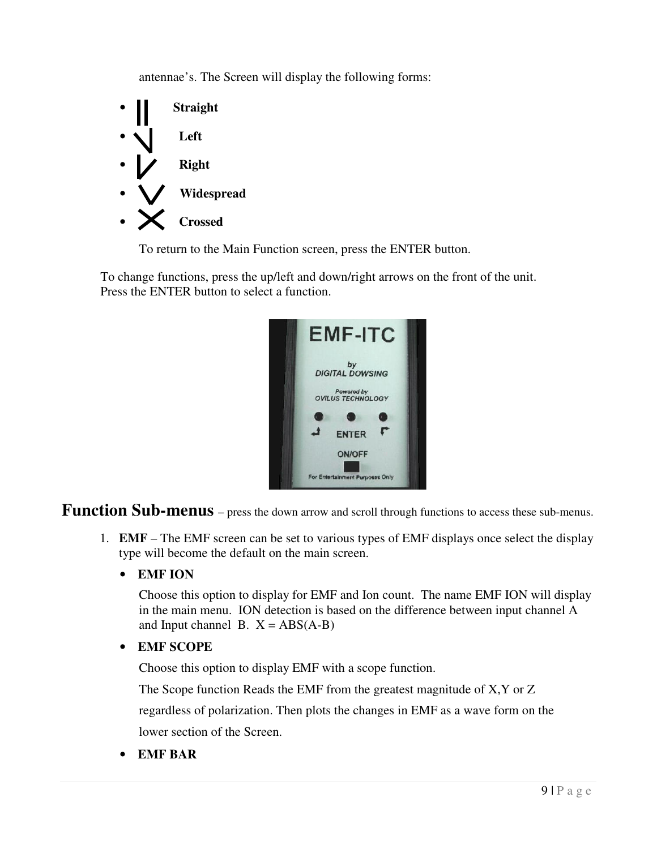antennae's. The Screen will display the following forms:



To return to the Main Function screen, press the ENTER button.

To change functions, press the up/left and down/right arrows on the front of the unit. Press the ENTER button to select a function.



**Function Sub-menus** – press the down arrow and scroll through functions to access these sub-menus.

- 1. **EMF** The EMF screen can be set to various types of EMF displays once select the display type will become the default on the main screen.
	- **EMF ION**

Choose this option to display for EMF and Ion count. The name EMF ION will display in the main menu. ION detection is based on the difference between input channel A and Input channel B.  $X = ABS(A-B)$ 

• **EMF SCOPE** 

Choose this option to display EMF with a scope function.

The Scope function Reads the EMF from the greatest magnitude of X,Y or Z

regardless of polarization. Then plots the changes in EMF as a wave form on the lower section of the Screen.

• **EMF BAR**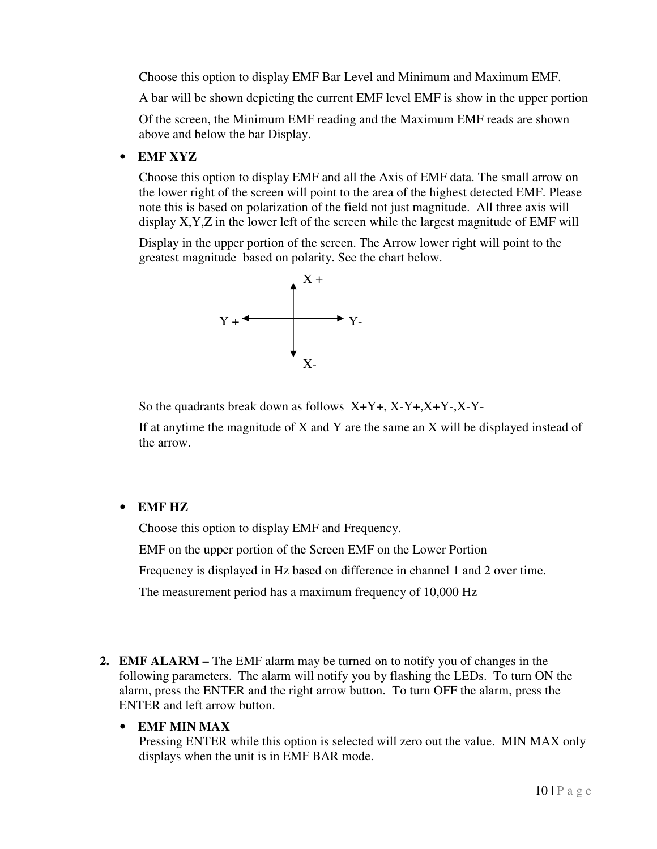Choose this option to display EMF Bar Level and Minimum and Maximum EMF.

A bar will be shown depicting the current EMF level EMF is show in the upper portion

Of the screen, the Minimum EMF reading and the Maximum EMF reads are shown above and below the bar Display.

#### • **EMF XYZ**

Choose this option to display EMF and all the Axis of EMF data. The small arrow on the lower right of the screen will point to the area of the highest detected EMF. Please note this is based on polarization of the field not just magnitude. All three axis will display X,Y,Z in the lower left of the screen while the largest magnitude of EMF will

Display in the upper portion of the screen. The Arrow lower right will point to the greatest magnitude based on polarity. See the chart below.



So the quadrants break down as follows X+Y+, X-Y+,X+Y-,X-Y-

If at anytime the magnitude of  $X$  and  $Y$  are the same an  $X$  will be displayed instead of the arrow.

#### • **EMF HZ**

Choose this option to display EMF and Frequency.

EMF on the upper portion of the Screen EMF on the Lower Portion

Frequency is displayed in Hz based on difference in channel 1 and 2 over time.

The measurement period has a maximum frequency of 10,000 Hz

**2. EMF ALARM –** The EMF alarm may be turned on to notify you of changes in the following parameters. The alarm will notify you by flashing the LEDs. To turn ON the alarm, press the ENTER and the right arrow button. To turn OFF the alarm, press the ENTER and left arrow button.

#### • **EMF MIN MAX**

Pressing ENTER while this option is selected will zero out the value. MIN MAX only displays when the unit is in EMF BAR mode.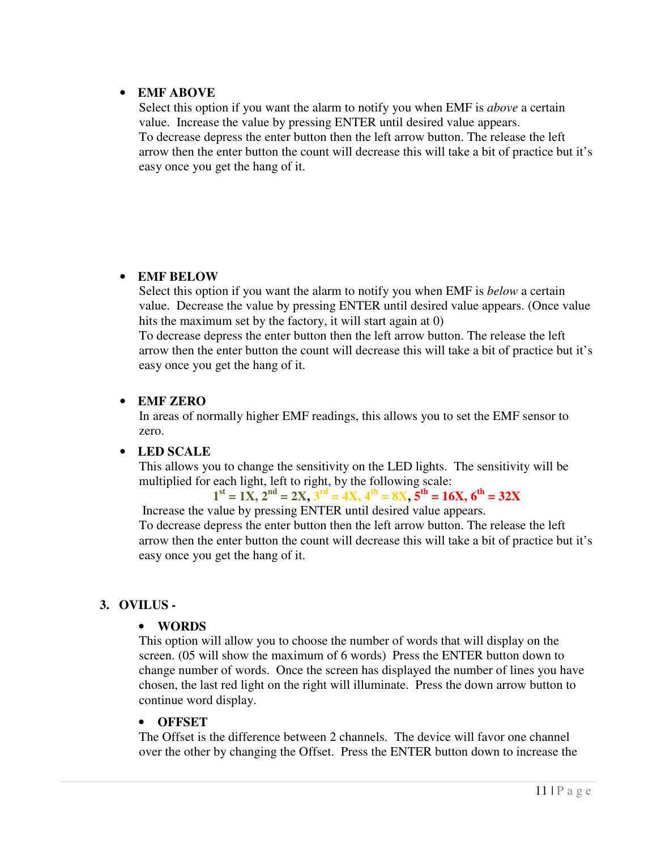#### • **EMF ABOVE**

Select this option if you want the alarm to notify you when EMF is *above* a certain value. Increase the value by pressing ENTER until desired value appears. To decrease depress the enter button then the left arrow button. The release the left arrow then the enter button the count will decrease this will take a bit of practice but it's easy once you get the hang of it.

#### • **EMF BELOW**

Select this option if you want the alarm to notify you when EMF is *below* a certain value. Decrease the value by pressing ENTER until desired value appears. (Once value hits the maximum set by the factory, it will start again at 0)

To decrease depress the enter button then the left arrow button. The release the left arrow then the enter button the count will decrease this will take a bit of practice but it's easy once you get the hang of it.

#### • **EMF ZERO**

In areas of normally higher EMF readings, this allows you to set the EMF sensor to zero.

#### • **LED SCALE**

This allows you to change the sensitivity on the LED lights. The sensitivity will be multiplied for each light, left to right, by the following scale:

 $1^{\text{st}} = 1X, 2^{\text{nd}} = 2X, 3^{\text{rd}} = 4X, 4^{\text{th}} = 8X, 5^{\text{th}} = 16X, 6^{\text{th}} = 32X$ 

 Increase the value by pressing ENTER until desired value appears. To decrease depress the enter button then the left arrow button. The release the left arrow then the enter button the count will decrease this will take a bit of practice but it's easy once you get the hang of it.

#### **3. OVILUS -**

#### • **WORDS**

This option will allow you to choose the number of words that will display on the screen. (05 will show the maximum of 6 words) Press the ENTER button down to change number of words. Once the screen has displayed the number of lines you have chosen, the last red light on the right will illuminate. Press the down arrow button to continue word display.

#### • **OFFSET**

The Offset is the difference between 2 channels. The device will favor one channel over the other by changing the Offset. Press the ENTER button down to increase the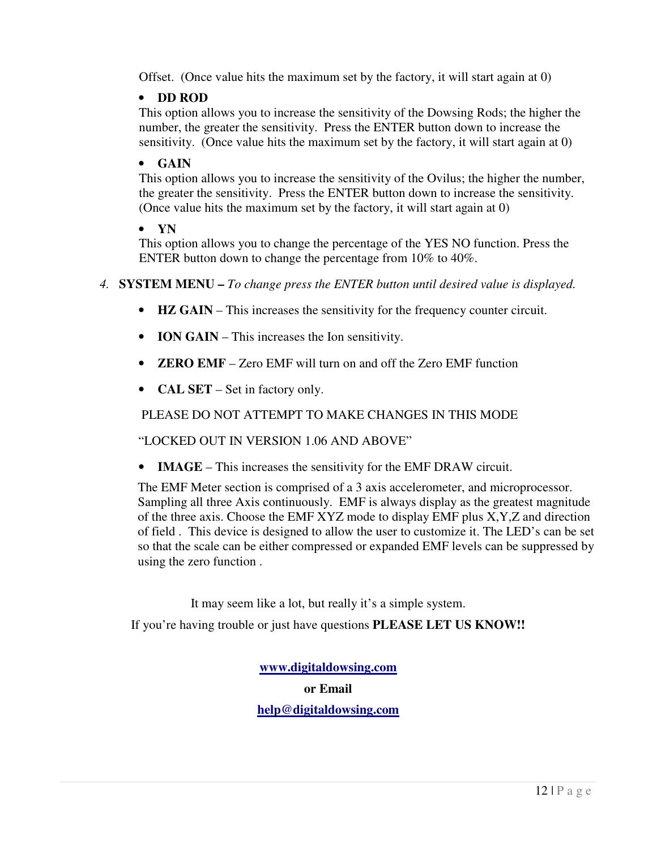Offset. (Once value hits the maximum set by the factory, it will start again at 0)

#### • **DD ROD**

This option allows you to increase the sensitivity of the Dowsing Rods; the higher the number, the greater the sensitivity. Press the ENTER button down to increase the sensitivity. (Once value hits the maximum set by the factory, it will start again at 0)

#### • **GAIN**

This option allows you to increase the sensitivity of the Ovilus; the higher the number, the greater the sensitivity. Press the ENTER button down to increase the sensitivity. (Once value hits the maximum set by the factory, it will start again at 0)

#### • **YN**

This option allows you to change the percentage of the YES NO function. Press the ENTER button down to change the percentage from 10% to 40%.

*4.* **SYSTEM MENU –** *To change press the ENTER button until desired value is displayed.* 

- **HZ GAIN** This increases the sensitivity for the frequency counter circuit.
- **ION GAIN** This increases the Ion sensitivity.
- **ZERO EMF** Zero EMF will turn on and off the Zero EMF function
- **CAL SET** Set in factory only.

#### PLEASE DO NOT ATTEMPT TO MAKE CHANGES IN THIS MODE

"LOCKED OUT IN VERSION 1.06 AND ABOVE"

• **IMAGE** – This increases the sensitivity for the EMF DRAW circuit.

The EMF Meter section is comprised of a 3 axis accelerometer, and microprocessor. Sampling all three Axis continuously. EMF is always display as the greatest magnitude of the three axis. Choose the EMF XYZ mode to display EMF plus X,Y,Z and direction of field . This device is designed to allow the user to customize it. The LED's can be set so that the scale can be either compressed or expanded EMF levels can be suppressed by using the zero function .

It may seem like a lot, but really it's a simple system.

If you're having trouble or just have questions **PLEASE LET US KNOW!!** 

**www.digitaldowsing.com or Email help@digitaldowsing.com**